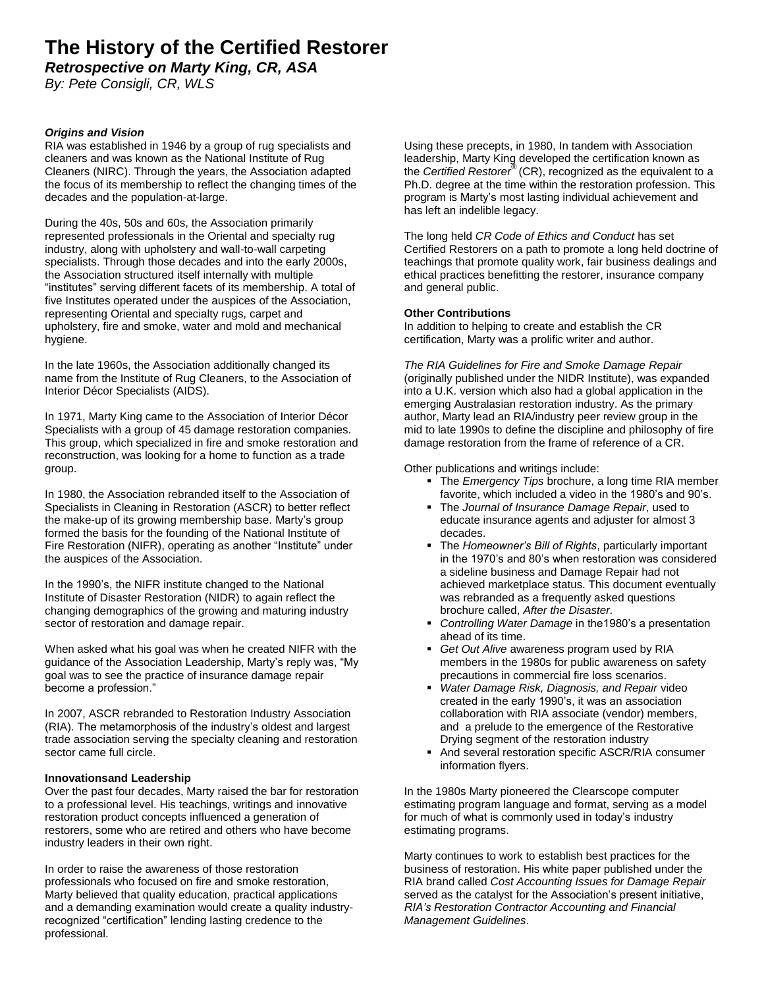# **The History of the Certified Restorer**

*Retrospective on Marty King, CR, ASA* 

*By: Pete Consigli, CR, WLS*

# *Origins and Vision*

RIA was established in 1946 by a group of rug specialists and cleaners and was known as the National Institute of Rug Cleaners (NIRC). Through the years, the Association adapted the focus of its membership to reflect the changing times of the decades and the population-at-large.

During the 40s, 50s and 60s, the Association primarily represented professionals in the Oriental and specialty rug industry, along with upholstery and wall-to-wall carpeting specialists. Through those decades and into the early 2000s, the Association structured itself internally with multiple "institutes" serving different facets of its membership. A total of five Institutes operated under the auspices of the Association, representing Oriental and specialty rugs, carpet and upholstery, fire and smoke, water and mold and mechanical hygiene.

In the late 1960s, the Association additionally changed its name from the Institute of Rug Cleaners, to the Association of Interior Décor Specialists (AIDS).

In 1971, Marty King came to the Association of Interior Décor Specialists with a group of 45 damage restoration companies. This group, which specialized in fire and smoke restoration and reconstruction, was looking for a home to function as a trade group.

In 1980, the Association rebranded itself to the Association of Specialists in Cleaning in Restoration (ASCR) to better reflect the make-up of its growing membership base. Marty's group formed the basis for the founding of the National Institute of Fire Restoration (NIFR), operating as another "Institute" under the auspices of the Association.

In the 1990's, the NIFR institute changed to the National Institute of Disaster Restoration (NIDR) to again reflect the changing demographics of the growing and maturing industry sector of restoration and damage repair.

When asked what his goal was when he created NIFR with the guidance of the Association Leadership, Marty's reply was, "My goal was to see the practice of insurance damage repair become a profession."

In 2007, ASCR rebranded to Restoration Industry Association (RIA). The metamorphosis of the industry's oldest and largest trade association serving the specialty cleaning and restoration sector came full circle.

## **Innovationsand Leadership**

Over the past four decades, Marty raised the bar for restoration to a professional level. His teachings, writings and innovative restoration product concepts influenced a generation of restorers, some who are retired and others who have become industry leaders in their own right.

In order to raise the awareness of those restoration professionals who focused on fire and smoke restoration, Marty believed that quality education, practical applications and a demanding examination would create a quality industryrecognized "certification" lending lasting credence to the professional.

Using these precepts, in 1980, In tandem with Association leadership, Marty King developed the certification known as the *Certified Restorer®* (CR), recognized as the equivalent to a Ph.D. degree at the time within the restoration profession. This program is Marty's most lasting individual achievement and has left an indelible legacy.

The long held *CR Code of Ethics and Conduct* has set Certified Restorers on a path to promote a long held doctrine of teachings that promote quality work, fair business dealings and ethical practices benefitting the restorer, insurance company and general public.

#### **Other Contributions**

In addition to helping to create and establish the CR certification, Marty was a prolific writer and author.

*The RIA Guidelines for Fire and Smoke Damage Repair* (originally published under the NIDR Institute), was expanded into a U.K. version which also had a global application in the emerging Australasian restoration industry. As the primary author, Marty lead an RIA/industry peer review group in the mid to late 1990s to define the discipline and philosophy of fire damage restoration from the frame of reference of a CR.

Other publications and writings include:

- The *Emergency Tips* brochure, a long time RIA member favorite, which included a video in the 1980's and 90's.
- The *Journal of Insurance Damage Repair,* used to educate insurance agents and adjuster for almost 3 decades.
- The *Homeowner's Bill of Rights*, particularly important in the 1970's and 80's when restoration was considered a sideline business and Damage Repair had not achieved marketplace status. This document eventually was rebranded as a frequently asked questions brochure called, *After the Disaster.*
- *Controlling Water Damage* in the1980's a presentation ahead of its time.
- *Get Out Alive* awareness program used by RIA members in the 1980s for public awareness on safety precautions in commercial fire loss scenarios.
- *Water Damage Risk, Diagnosis, and Repair* video created in the early 1990's, it was an association collaboration with RIA associate (vendor) members, and a prelude to the emergence of the Restorative Drying segment of the restoration industry
- And several restoration specific ASCR/RIA consumer information flyers.

In the 1980s Marty pioneered the Clearscope computer estimating program language and format, serving as a model for much of what is commonly used in today's industry estimating programs.

Marty continues to work to establish best practices for the business of restoration. His white paper published under the RIA brand called *Cost Accounting Issues for Damage Repair*  served as the catalyst for the Association's present initiative, *RIA's Restoration Contractor Accounting and Financial Management Guidelines*.